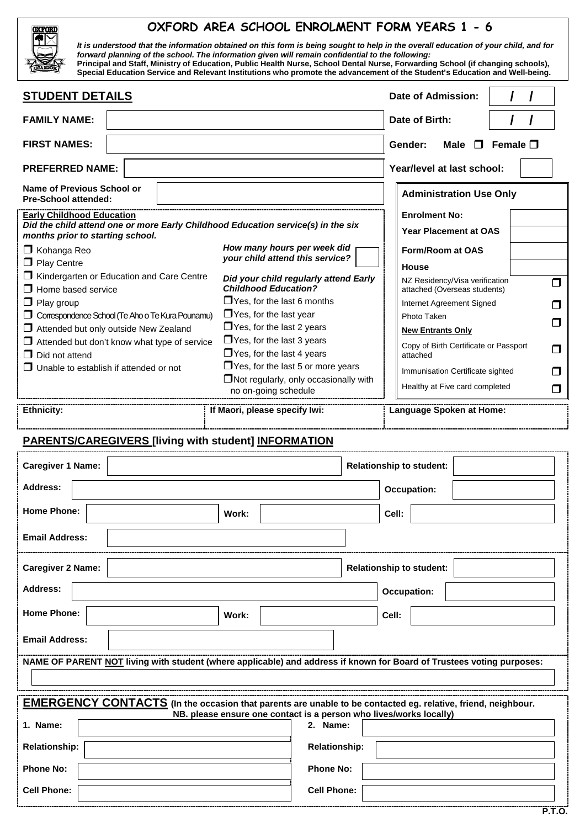

# **OXFORD AREA SCHOOL ENROLMENT FORM YEARS 1 - 6**

**It is understood that the information obtained on this form is being sought to help in the overall education of your child, and for forward planning of the school. The information given will remain confidential to the following: Principal and Staff, Ministry of Education, Public Health Nurse, School Dental Nurse, Forwarding School (if changing schools), Special Education Service and Relevant Institutions who promote the advancement of the Student's Education and Well-being.**

| <b>STUDENT DETAILS</b>                                                                                               |                                                                      | Date of Admission:                                                  |  |  |
|----------------------------------------------------------------------------------------------------------------------|----------------------------------------------------------------------|---------------------------------------------------------------------|--|--|
| <b>FAMILY NAME:</b>                                                                                                  |                                                                      |                                                                     |  |  |
| <b>FIRST NAMES:</b>                                                                                                  |                                                                      |                                                                     |  |  |
| <b>PREFERRED NAME:</b>                                                                                               |                                                                      | Year/level at last school:                                          |  |  |
| Name of Previous School or<br><b>Pre-School attended:</b>                                                            |                                                                      | <b>Administration Use Only</b>                                      |  |  |
| <b>Early Childhood Education</b>                                                                                     |                                                                      | <b>Enrolment No:</b>                                                |  |  |
| Did the child attend one or more Early Childhood Education service(s) in the six<br>months prior to starting school. |                                                                      | <b>Year Placement at OAS</b>                                        |  |  |
| $\Box$ Kohanga Reo                                                                                                   | How many hours per week did                                          | Form/Room at OAS                                                    |  |  |
| $\Box$ Play Centre                                                                                                   | your child attend this service?                                      | <b>House</b>                                                        |  |  |
| $\Box$ Kindergarten or Education and Care Centre<br>$\Box$ Home based service                                        | Did your child regularly attend Early<br><b>Childhood Education?</b> | NZ Residency/Visa verification<br>Π<br>attached (Overseas students) |  |  |
| $\Box$ Play group                                                                                                    | $\Box$ Yes, for the last 6 months                                    | Internet Agreement Signed<br>Π                                      |  |  |
| $\Box$ Yes, for the last year<br>O Correspondence School (Te Aho o Te Kura Pounamu)                                  |                                                                      | Photo Taken<br>Π                                                    |  |  |
| $\Box$ Yes, for the last 2 years<br>$\Box$ Attended but only outside New Zealand                                     |                                                                      | <b>New Entrants Only</b>                                            |  |  |
| $\Box$ Attended but don't know what type of service<br>$\Box$ Did not attend                                         | $\Box$ Yes, for the last 3 years<br>$\Box$ Yes, for the last 4 years | Copy of Birth Certificate or Passport<br>$\Box$<br>attached         |  |  |
| $\Box$ Unable to establish if attended or not                                                                        | $\Box$ Yes, for the last 5 or more years                             | Immunisation Certificate sighted<br>П                               |  |  |
|                                                                                                                      | $\Box$ Not regularly, only occasionally with<br>no on-going schedule | Healthy at Five card completed<br>$\Box$                            |  |  |
| <b>Ethnicity:</b>                                                                                                    | If Maori, please specify lwi:                                        | Language Spoken at Home:                                            |  |  |

#### **PARENTS/CAREGIVERS [living with student] INFORMATION**

| <b>Caregiver 1 Name:</b> |       | <b>Relationship to student:</b>                                                                                                                                                           |
|--------------------------|-------|-------------------------------------------------------------------------------------------------------------------------------------------------------------------------------------------|
| Address:                 |       | <b>Occupation:</b>                                                                                                                                                                        |
| <b>Home Phone:</b>       | Work: | Cell:                                                                                                                                                                                     |
| <b>Email Address:</b>    |       |                                                                                                                                                                                           |
| <b>Caregiver 2 Name:</b> |       | <b>Relationship to student:</b>                                                                                                                                                           |
| Address:                 |       | <b>Occupation:</b>                                                                                                                                                                        |
| <b>Home Phone:</b>       | Work: | Cell:                                                                                                                                                                                     |
| <b>Email Address:</b>    |       |                                                                                                                                                                                           |
|                          |       | NAME OF PARENT NOT living with student (where applicable) and address if known for Board of Trustees voting purposes:                                                                     |
|                          |       | <b>EMERGENCY CONTACTS</b> (In the occasion that parents are unable to be contacted eg. relative, friend, neighbour.<br>NB. please ensure one contact is a person who lives/works locally) |
| 1. Name:                 |       | 2. Name:                                                                                                                                                                                  |
| <b>Relationship:</b>     |       | <b>Relationship:</b>                                                                                                                                                                      |
| <b>Phone No:</b>         |       | <b>Phone No:</b>                                                                                                                                                                          |
| <b>Cell Phone:</b>       |       | <b>Cell Phone:</b>                                                                                                                                                                        |